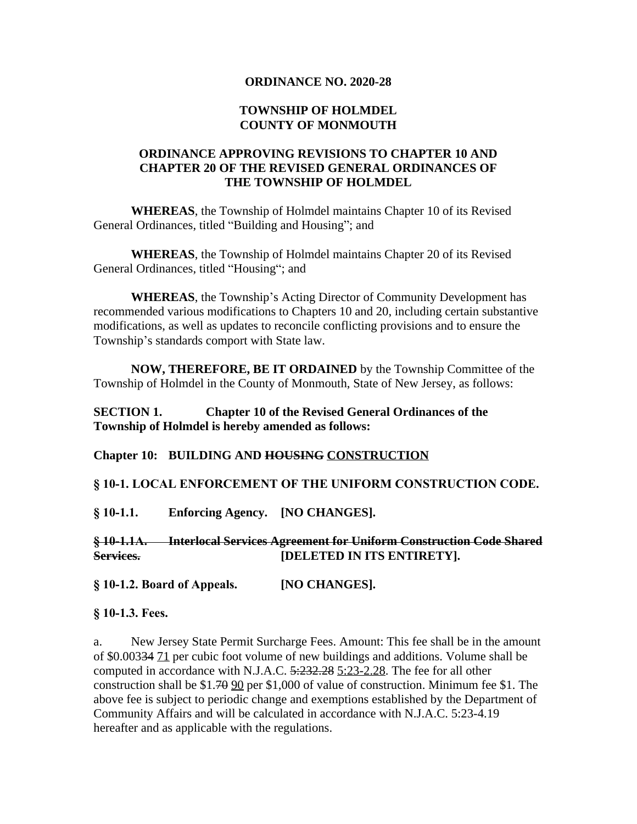#### **ORDINANCE NO. 2020-28**

#### **TOWNSHIP OF HOLMDEL COUNTY OF MONMOUTH**

### **ORDINANCE APPROVING REVISIONS TO CHAPTER 10 AND CHAPTER 20 OF THE REVISED GENERAL ORDINANCES OF THE TOWNSHIP OF HOLMDEL**

**WHEREAS**, the Township of Holmdel maintains Chapter 10 of its Revised General Ordinances, titled "Building and Housing"; and

**WHEREAS**, the Township of Holmdel maintains Chapter 20 of its Revised General Ordinances, titled "Housing"; and

**WHEREAS**, the Township's Acting Director of Community Development has recommended various modifications to Chapters 10 and 20, including certain substantive modifications, as well as updates to reconcile conflicting provisions and to ensure the Township's standards comport with State law.

**NOW, THEREFORE, BE IT ORDAINED** by the Township Committee of the Township of Holmdel in the County of Monmouth, State of New Jersey, as follows:

### **SECTION 1. Chapter 10 of the Revised General Ordinances of the Township of Holmdel is hereby amended as follows:**

#### **Chapter 10: BUILDING AND HOUSING CONSTRUCTION**

#### **§ 10-1. LOCAL ENFORCEMENT OF THE UNIFORM CONSTRUCTION CODE.**

**§ 10-1.1. Enforcing Agency. [NO CHANGES].**

#### **§ 10-1.1A. Interlocal Services Agreement for Uniform Construction Code Shared Services. [DELETED IN ITS ENTIRETY].**

**§ 10-1.2. Board of Appeals. [NO CHANGES].**

**§ 10-1.3. Fees.**

a. New Jersey State Permit Surcharge Fees. Amount: This fee shall be in the amount of \$0.00334 71 per cubic foot volume of new buildings and additions. Volume shall be computed in accordance with N.J.A.C. 5:232.28 5:23-2.28. The fee for all other construction shall be  $$1.70$   $$90$  per  $$1,000$  of value of construction. Minimum fee  $$1$ . The above fee is subject to periodic change and exemptions established by the Department of Community Affairs and will be calculated in accordance with N.J.A.C. 5:23-4.19 hereafter and as applicable with the regulations.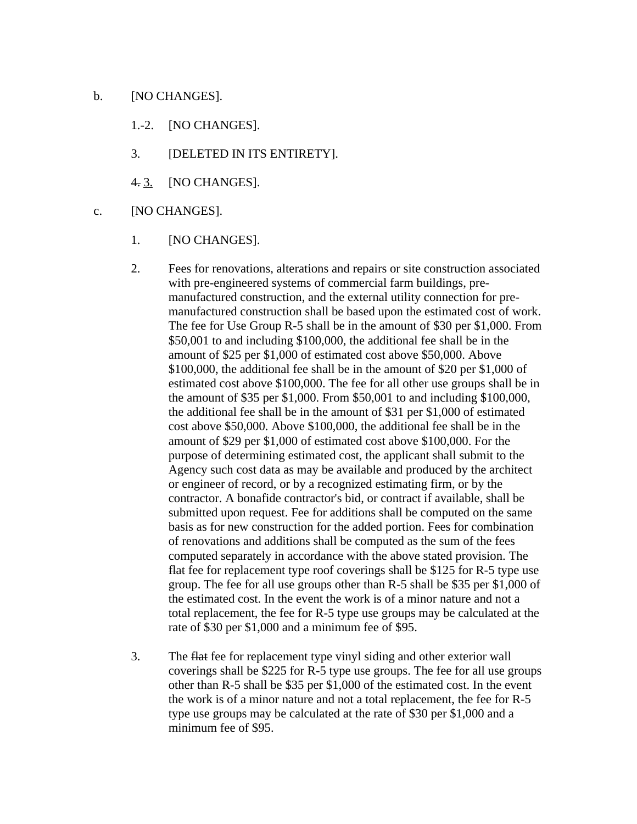#### b. [NO CHANGES].

- 1.-2. [NO CHANGES].
- 3. [DELETED IN ITS ENTIRETY].
- 4. 3. [NO CHANGES].
- c. [NO CHANGES].
	- 1. [NO CHANGES].
	- 2. Fees for renovations, alterations and repairs or site construction associated with pre-engineered systems of commercial farm buildings, premanufactured construction, and the external utility connection for premanufactured construction shall be based upon the estimated cost of work. The fee for Use Group R-5 shall be in the amount of \$30 per \$1,000. From \$50,001 to and including \$100,000, the additional fee shall be in the amount of \$25 per \$1,000 of estimated cost above \$50,000. Above \$100,000, the additional fee shall be in the amount of \$20 per \$1,000 of estimated cost above \$100,000. The fee for all other use groups shall be in the amount of \$35 per \$1,000. From \$50,001 to and including \$100,000, the additional fee shall be in the amount of \$31 per \$1,000 of estimated cost above \$50,000. Above \$100,000, the additional fee shall be in the amount of \$29 per \$1,000 of estimated cost above \$100,000. For the purpose of determining estimated cost, the applicant shall submit to the Agency such cost data as may be available and produced by the architect or engineer of record, or by a recognized estimating firm, or by the contractor. A bonafide contractor's bid, or contract if available, shall be submitted upon request. Fee for additions shall be computed on the same basis as for new construction for the added portion. Fees for combination of renovations and additions shall be computed as the sum of the fees computed separately in accordance with the above stated provision. The flat fee for replacement type roof coverings shall be \$125 for R-5 type use group. The fee for all use groups other than R-5 shall be \$35 per \$1,000 of the estimated cost. In the event the work is of a minor nature and not a total replacement, the fee for R-5 type use groups may be calculated at the rate of \$30 per \$1,000 and a minimum fee of \$95.
	- 3. The flat fee for replacement type vinyl siding and other exterior wall coverings shall be \$225 for R-5 type use groups. The fee for all use groups other than R-5 shall be \$35 per \$1,000 of the estimated cost. In the event the work is of a minor nature and not a total replacement, the fee for R-5 type use groups may be calculated at the rate of \$30 per \$1,000 and a minimum fee of \$95.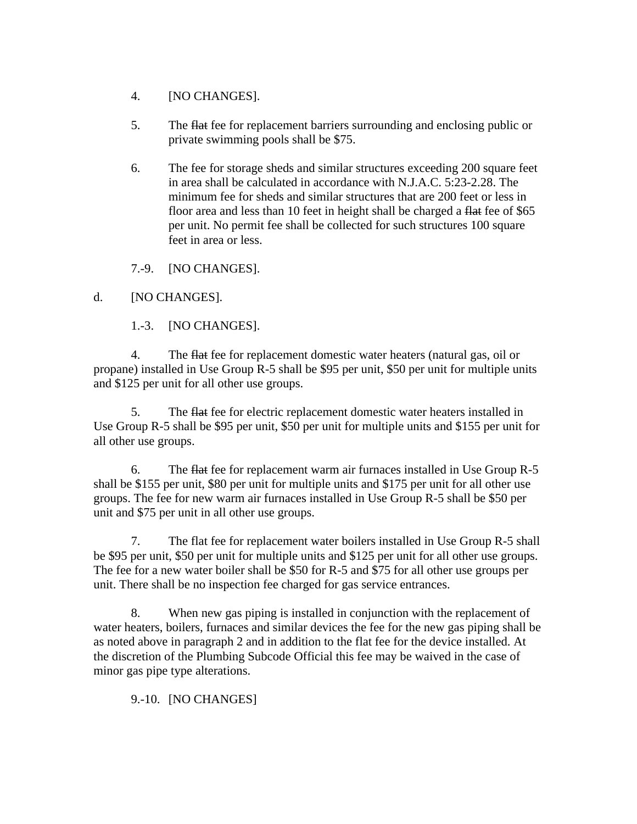- 4. [NO CHANGES].
- 5. The flat fee for replacement barriers surrounding and enclosing public or private swimming pools shall be \$75.
- 6. The fee for storage sheds and similar structures exceeding 200 square feet in area shall be calculated in accordance with N.J.A.C. 5:23-2.28. The minimum fee for sheds and similar structures that are 200 feet or less in floor area and less than 10 feet in height shall be charged a flat fee of \$65 per unit. No permit fee shall be collected for such structures 100 square feet in area or less.

7.-9. [NO CHANGES].

## d. [NO CHANGES].

1.-3. [NO CHANGES].

4. The flat fee for replacement domestic water heaters (natural gas, oil or propane) installed in Use Group R-5 shall be \$95 per unit, \$50 per unit for multiple units and \$125 per unit for all other use groups.

5. The flat fee for electric replacement domestic water heaters installed in Use Group R-5 shall be \$95 per unit, \$50 per unit for multiple units and \$155 per unit for all other use groups.

6. The flat fee for replacement warm air furnaces installed in Use Group R-5 shall be \$155 per unit, \$80 per unit for multiple units and \$175 per unit for all other use groups. The fee for new warm air furnaces installed in Use Group R-5 shall be \$50 per unit and \$75 per unit in all other use groups.

7. The flat fee for replacement water boilers installed in Use Group R-5 shall be \$95 per unit, \$50 per unit for multiple units and \$125 per unit for all other use groups. The fee for a new water boiler shall be \$50 for R-5 and \$75 for all other use groups per unit. There shall be no inspection fee charged for gas service entrances.

8. When new gas piping is installed in conjunction with the replacement of water heaters, boilers, furnaces and similar devices the fee for the new gas piping shall be as noted above in paragraph 2 and in addition to the flat fee for the device installed. At the discretion of the Plumbing Subcode Official this fee may be waived in the case of minor gas pipe type alterations.

9.-10. [NO CHANGES]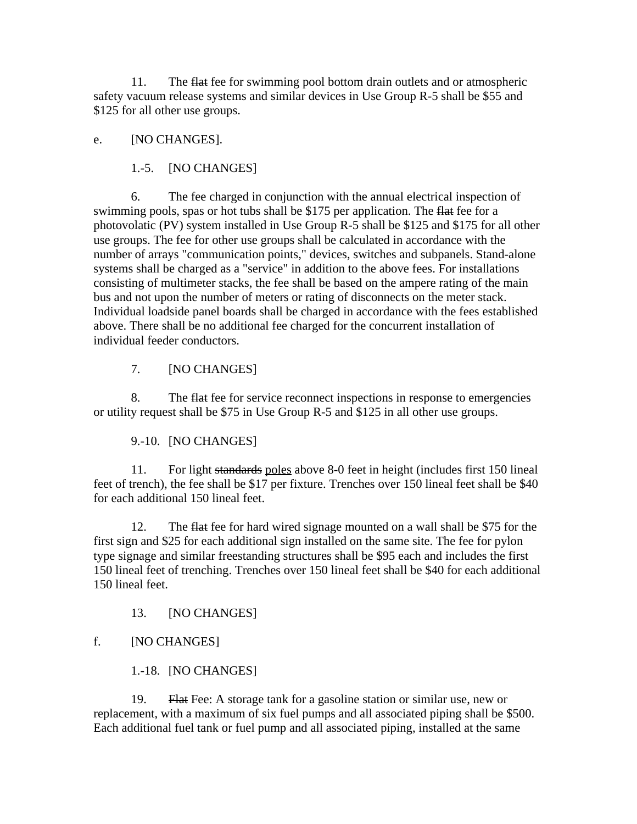11. The flat fee for swimming pool bottom drain outlets and or atmospheric safety vacuum release systems and similar devices in Use Group R-5 shall be \$55 and \$125 for all other use groups.

### e. [NO CHANGES].

1.-5. [NO CHANGES]

6. The fee charged in conjunction with the annual electrical inspection of swimming pools, spas or hot tubs shall be \$175 per application. The flat fee for a photovolatic (PV) system installed in Use Group R-5 shall be \$125 and \$175 for all other use groups. The fee for other use groups shall be calculated in accordance with the number of arrays "communication points," devices, switches and subpanels. Stand-alone systems shall be charged as a "service" in addition to the above fees. For installations consisting of multimeter stacks, the fee shall be based on the ampere rating of the main bus and not upon the number of meters or rating of disconnects on the meter stack. Individual loadside panel boards shall be charged in accordance with the fees established above. There shall be no additional fee charged for the concurrent installation of individual feeder conductors.

7. [NO CHANGES]

8. The flat fee for service reconnect inspections in response to emergencies or utility request shall be \$75 in Use Group R-5 and \$125 in all other use groups.

9.-10. [NO CHANGES]

11. For light standards poles above 8-0 feet in height (includes first 150 lineal feet of trench), the fee shall be \$17 per fixture. Trenches over 150 lineal feet shall be \$40 for each additional 150 lineal feet.

12. The flat fee for hard wired signage mounted on a wall shall be \$75 for the first sign and \$25 for each additional sign installed on the same site. The fee for pylon type signage and similar freestanding structures shall be \$95 each and includes the first 150 lineal feet of trenching. Trenches over 150 lineal feet shall be \$40 for each additional 150 lineal feet.

13. [NO CHANGES]

## f. [NO CHANGES]

1.-18. [NO CHANGES]

19. Flat Fee: A storage tank for a gasoline station or similar use, new or replacement, with a maximum of six fuel pumps and all associated piping shall be \$500. Each additional fuel tank or fuel pump and all associated piping, installed at the same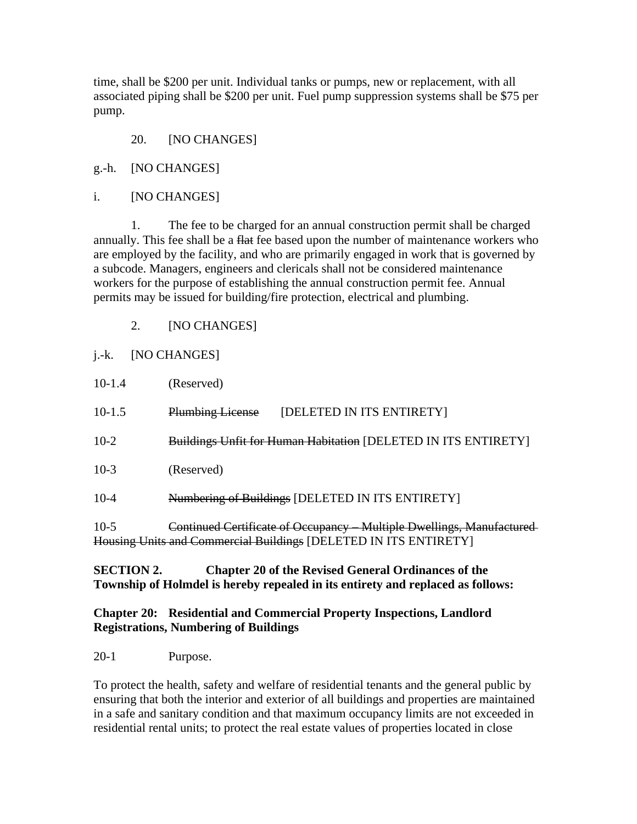time, shall be \$200 per unit. Individual tanks or pumps, new or replacement, with all associated piping shall be \$200 per unit. Fuel pump suppression systems shall be \$75 per pump.

- 20. [NO CHANGES]
- g.-h. [NO CHANGES]
- i. [NO CHANGES]

1. The fee to be charged for an annual construction permit shall be charged annually. This fee shall be a flat fee based upon the number of maintenance workers who are employed by the facility, and who are primarily engaged in work that is governed by a subcode. Managers, engineers and clericals shall not be considered maintenance workers for the purpose of establishing the annual construction permit fee. Annual permits may be issued for building/fire protection, electrical and plumbing.

2. [NO CHANGES]

## j.-k. [NO CHANGES]

| $10-1.4$ | (Reserved)                                                            |
|----------|-----------------------------------------------------------------------|
| $10-1.5$ | <b>Plumbing License</b><br>[DELETED IN ITS ENTIRETY]                  |
| $10-2$   | Buildings Unfit for Human Habitation [DELETED IN ITS ENTIRETY]        |
| $10-3$   | (Reserved)                                                            |
| $10 - 4$ | Numbering of Buildings [DELETED IN ITS ENTIRETY]                      |
| $10-5$   | Continued Certificate of Occupancy – Multiple Dwellings, Manufactured |

10-5 Continued Certificate of Occupancy – Multiple Dwellings, Manufactured Housing Units and Commercial Buildings [DELETED IN ITS ENTIRETY]

## **SECTION 2. Chapter 20 of the Revised General Ordinances of the Township of Holmdel is hereby repealed in its entirety and replaced as follows:**

### **Chapter 20: Residential and Commercial Property Inspections, Landlord Registrations, Numbering of Buildings**

20-1 Purpose.

To protect the health, safety and welfare of residential tenants and the general public by ensuring that both the interior and exterior of all buildings and properties are maintained in a safe and sanitary condition and that maximum occupancy limits are not exceeded in residential rental units; to protect the real estate values of properties located in close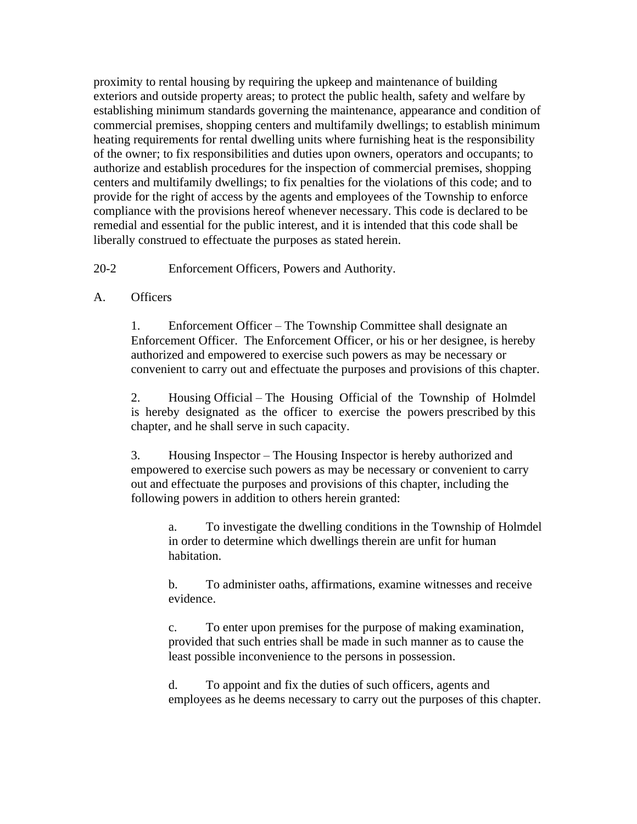proximity to rental housing by requiring the upkeep and maintenance of building exteriors and outside property areas; to protect the public health, safety and welfare by establishing minimum standards governing the maintenance, appearance and condition of commercial premises, shopping centers and multifamily dwellings; to establish minimum heating requirements for rental dwelling units where furnishing heat is the responsibility of the owner; to fix responsibilities and duties upon owners, operators and occupants; to authorize and establish procedures for the inspection of commercial premises, shopping centers and multifamily dwellings; to fix penalties for the violations of this code; and to provide for the right of access by the agents and employees of the Township to enforce compliance with the provisions hereof whenever necessary. This code is declared to be remedial and essential for the public interest, and it is intended that this code shall be liberally construed to effectuate the purposes as stated herein.

20-2 Enforcement Officers, Powers and Authority.

## A. Officers

1. Enforcement Officer – The Township Committee shall designate an Enforcement Officer. The Enforcement Officer, or his or her designee, is hereby authorized and empowered to exercise such powers as may be necessary or convenient to carry out and effectuate the purposes and provisions of this chapter.

2. Housing Official – The Housing Official of the Township of Holmdel is hereby designated as the officer to exercise the powers prescribed by this chapter, and he shall serve in such capacity.

3. Housing Inspector – The Housing Inspector is hereby authorized and empowered to exercise such powers as may be necessary or convenient to carry out and effectuate the purposes and provisions of this chapter, including the following powers in addition to others herein granted:

a. To investigate the dwelling conditions in the Township of Holmdel in order to determine which dwellings therein are unfit for human habitation.

b. To administer oaths, affirmations, examine witnesses and receive evidence.

c. To enter upon premises for the purpose of making examination, provided that such entries shall be made in such manner as to cause the least possible inconvenience to the persons in possession.

d. To appoint and fix the duties of such officers, agents and employees as he deems necessary to carry out the purposes of this chapter.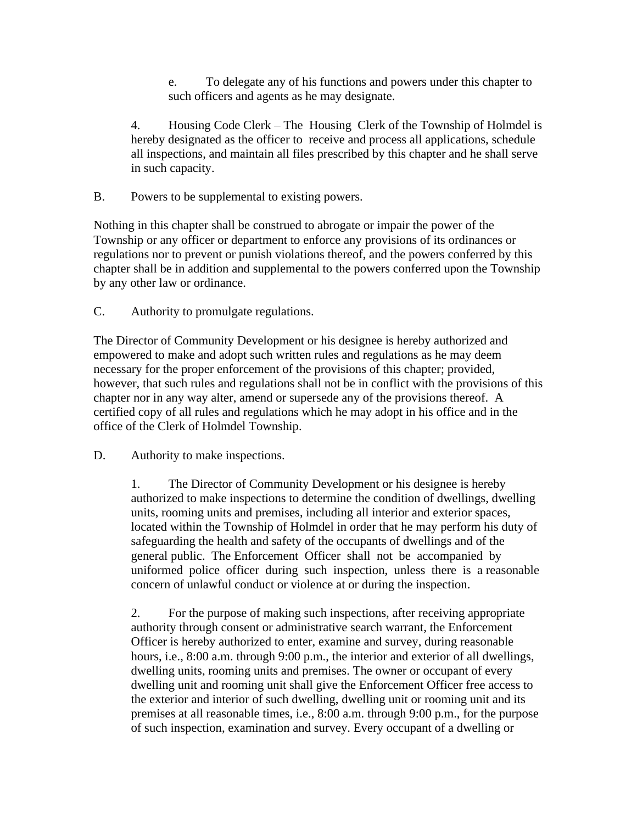e. To delegate any of his functions and powers under this chapter to such officers and agents as he may designate.

4. Housing Code Clerk – The Housing Clerk of the Township of Holmdel is hereby designated as the officer to receive and process all applications, schedule all inspections, and maintain all files prescribed by this chapter and he shall serve in such capacity.

B. Powers to be supplemental to existing powers.

Nothing in this chapter shall be construed to abrogate or impair the power of the Township or any officer or department to enforce any provisions of its ordinances or regulations nor to prevent or punish violations thereof, and the powers conferred by this chapter shall be in addition and supplemental to the powers conferred upon the Township by any other law or ordinance.

C. Authority to promulgate regulations.

The Director of Community Development or his designee is hereby authorized and empowered to make and adopt such written rules and regulations as he may deem necessary for the proper enforcement of the provisions of this chapter; provided, however, that such rules and regulations shall not be in conflict with the provisions of this chapter nor in any way alter, amend or supersede any of the provisions thereof. A certified copy of all rules and regulations which he may adopt in his office and in the office of the Clerk of Holmdel Township.

D. Authority to make inspections.

1. The Director of Community Development or his designee is hereby authorized to make inspections to determine the condition of dwellings, dwelling units, rooming units and premises, including all interior and exterior spaces, located within the Township of Holmdel in order that he may perform his duty of safeguarding the health and safety of the occupants of dwellings and of the general public. The Enforcement Officer shall not be accompanied by uniformed police officer during such inspection, unless there is a reasonable concern of unlawful conduct or violence at or during the inspection.

2. For the purpose of making such inspections, after receiving appropriate authority through consent or administrative search warrant, the Enforcement Officer is hereby authorized to enter, examine and survey, during reasonable hours, i.e., 8:00 a.m. through 9:00 p.m., the interior and exterior of all dwellings, dwelling units, rooming units and premises. The owner or occupant of every dwelling unit and rooming unit shall give the Enforcement Officer free access to the exterior and interior of such dwelling, dwelling unit or rooming unit and its premises at all reasonable times, i.e., 8:00 a.m. through 9:00 p.m., for the purpose of such inspection, examination and survey. Every occupant of a dwelling or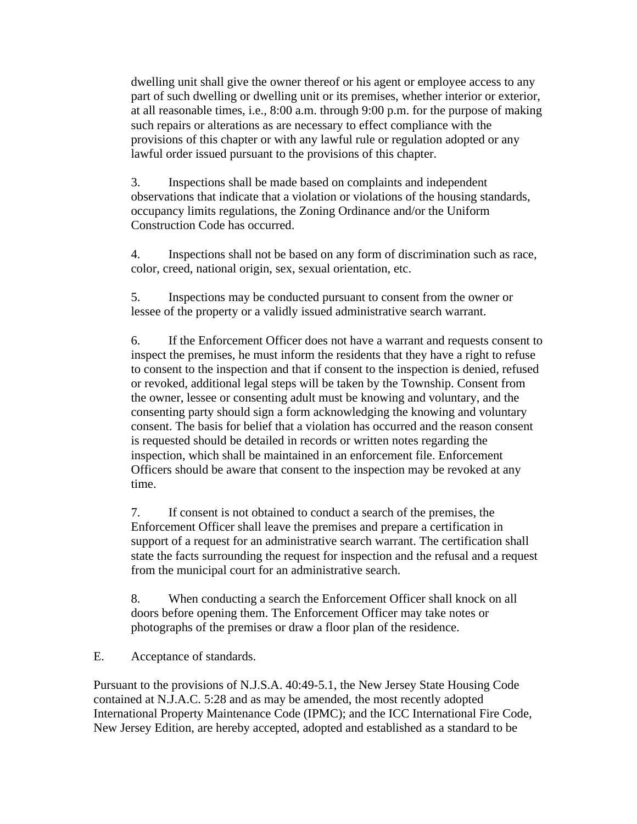dwelling unit shall give the owner thereof or his agent or employee access to any part of such dwelling or dwelling unit or its premises, whether interior or exterior, at all reasonable times, i.e., 8:00 a.m. through 9:00 p.m. for the purpose of making such repairs or alterations as are necessary to effect compliance with the provisions of this chapter or with any lawful rule or regulation adopted or any lawful order issued pursuant to the provisions of this chapter.

3. Inspections shall be made based on complaints and independent observations that indicate that a violation or violations of the housing standards, occupancy limits regulations, the Zoning Ordinance and/or the Uniform Construction Code has occurred.

4. Inspections shall not be based on any form of discrimination such as race, color, creed, national origin, sex, sexual orientation, etc.

5. Inspections may be conducted pursuant to consent from the owner or lessee of the property or a validly issued administrative search warrant.

6. If the Enforcement Officer does not have a warrant and requests consent to inspect the premises, he must inform the residents that they have a right to refuse to consent to the inspection and that if consent to the inspection is denied, refused or revoked, additional legal steps will be taken by the Township. Consent from the owner, lessee or consenting adult must be knowing and voluntary, and the consenting party should sign a form acknowledging the knowing and voluntary consent. The basis for belief that a violation has occurred and the reason consent is requested should be detailed in records or written notes regarding the inspection, which shall be maintained in an enforcement file. Enforcement Officers should be aware that consent to the inspection may be revoked at any time.

7. If consent is not obtained to conduct a search of the premises, the Enforcement Officer shall leave the premises and prepare a certification in support of a request for an administrative search warrant. The certification shall state the facts surrounding the request for inspection and the refusal and a request from the municipal court for an administrative search.

8. When conducting a search the Enforcement Officer shall knock on all doors before opening them. The Enforcement Officer may take notes or photographs of the premises or draw a floor plan of the residence.

E. Acceptance of standards.

Pursuant to the provisions of N.J.S.A. 40:49-5.1, the New Jersey State Housing Code contained at N.J.A.C. 5:28 and as may be amended, the most recently adopted International Property Maintenance Code (IPMC); and the ICC International Fire Code, New Jersey Edition, are hereby accepted, adopted and established as a standard to be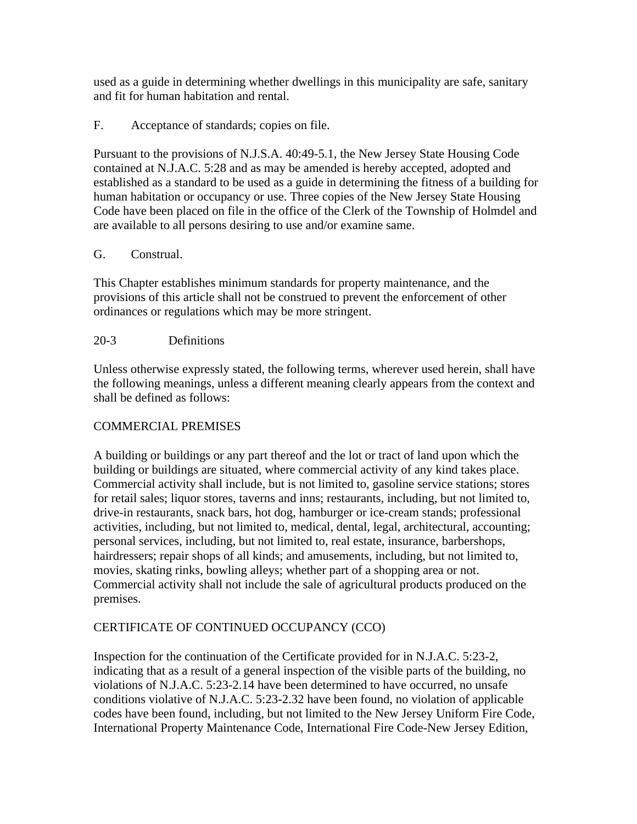used as a guide in determining whether dwellings in this municipality are safe, sanitary and fit for human habitation and rental.

## F. Acceptance of standards; copies on file.

Pursuant to the provisions of N.J.S.A. 40:49-5.1, the New Jersey State Housing Code contained at N.J.A.C. 5:28 and as may be amended is hereby accepted, adopted and established as a standard to be used as a guide in determining the fitness of a building for human habitation or occupancy or use. Three copies of the New Jersey State Housing Code have been placed on file in the office of the Clerk of the Township of Holmdel and are available to all persons desiring to use and/or examine same.

## G. Construal.

This Chapter establishes minimum standards for property maintenance, and the provisions of this article shall not be construed to prevent the enforcement of other ordinances or regulations which may be more stringent.

## 20-3 Definitions

Unless otherwise expressly stated, the following terms, wherever used herein, shall have the following meanings, unless a different meaning clearly appears from the context and shall be defined as follows:

# COMMERCIAL PREMISES

A building or buildings or any part thereof and the lot or tract of land upon which the building or buildings are situated, where commercial activity of any kind takes place. Commercial activity shall include, but is not limited to, gasoline service stations; stores for retail sales; liquor stores, taverns and inns; restaurants, including, but not limited to, drive-in restaurants, snack bars, hot dog, hamburger or ice-cream stands; professional activities, including, but not limited to, medical, dental, legal, architectural, accounting; personal services, including, but not limited to, real estate, insurance, barbershops, hairdressers; repair shops of all kinds; and amusements, including, but not limited to, movies, skating rinks, bowling alleys; whether part of a shopping area or not. Commercial activity shall not include the sale of agricultural products produced on the premises.

# CERTIFICATE OF CONTINUED OCCUPANCY (CCO)

Inspection for the continuation of the Certificate provided for in N.J.A.C. 5:23-2, indicating that as a result of a general inspection of the visible parts of the building, no violations of N.J.A.C. 5:23-2.14 have been determined to have occurred, no unsafe conditions violative of N.J.A.C. 5:23-2.32 have been found, no violation of applicable codes have been found, including, but not limited to the New Jersey Uniform Fire Code, International Property Maintenance Code, International Fire Code-New Jersey Edition,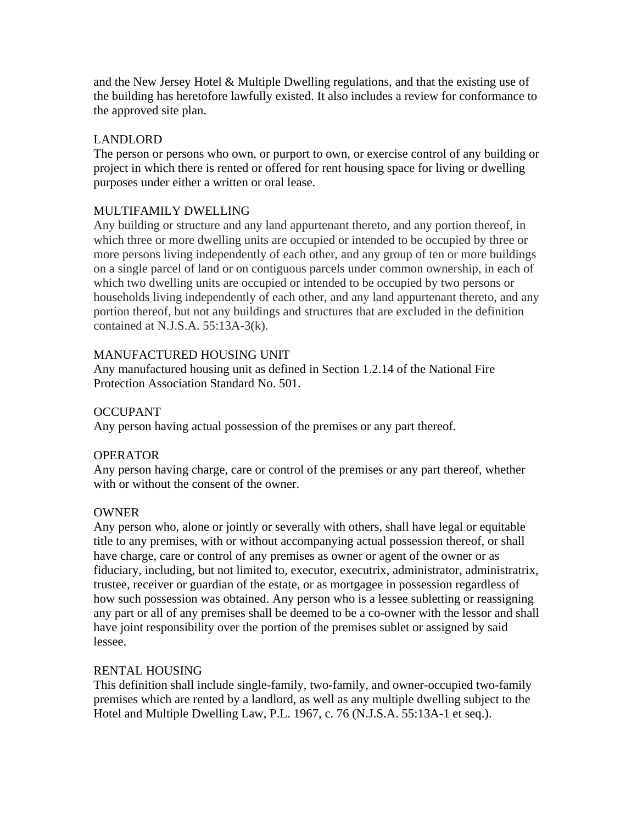and the New Jersey Hotel  $\&$  Multiple Dwelling regulations, and that the existing use of the building has heretofore lawfully existed. It also includes a review for conformance to the approved site plan.

## LANDLORD

The person or persons who own, or purport to own, or exercise control of any building or project in which there is rented or offered for rent housing space for living or dwelling purposes under either a written or oral lease.

## MULTIFAMILY DWELLING

Any building or structure and any land appurtenant thereto, and any portion thereof, in which three or more dwelling units are occupied or intended to be occupied by three or more persons living independently of each other, and any group of ten or more buildings on a single parcel of land or on contiguous parcels under common ownership, in each of which two dwelling units are occupied or intended to be occupied by two persons or households living independently of each other, and any land appurtenant thereto, and any portion thereof, but not any buildings and structures that are excluded in the definition contained at N.J.S.A. 55:13A-3(k).

## MANUFACTURED HOUSING UNIT

Any manufactured housing unit as defined in Section 1.2.14 of the National Fire Protection Association Standard No. 501.

## OCCUPANT

Any person having actual possession of the premises or any part thereof.

## OPERATOR

Any person having charge, care or control of the premises or any part thereof, whether with or without the consent of the owner.

## **OWNER**

Any person who, alone or jointly or severally with others, shall have legal or equitable title to any premises, with or without accompanying actual possession thereof, or shall have charge, care or control of any premises as owner or agent of the owner or as fiduciary, including, but not limited to, executor, executrix, administrator, administratrix, trustee, receiver or guardian of the estate, or as mortgagee in possession regardless of how such possession was obtained. Any person who is a lessee subletting or reassigning any part or all of any premises shall be deemed to be a co-owner with the lessor and shall have joint responsibility over the portion of the premises sublet or assigned by said lessee.

## RENTAL HOUSING

This definition shall include single-family, two-family, and owner-occupied two-family premises which are rented by a landlord, as well as any multiple dwelling subject to the Hotel and Multiple Dwelling Law, P.L. 1967, c. 76 (N.J.S.A. 55:13A-1 et seq.).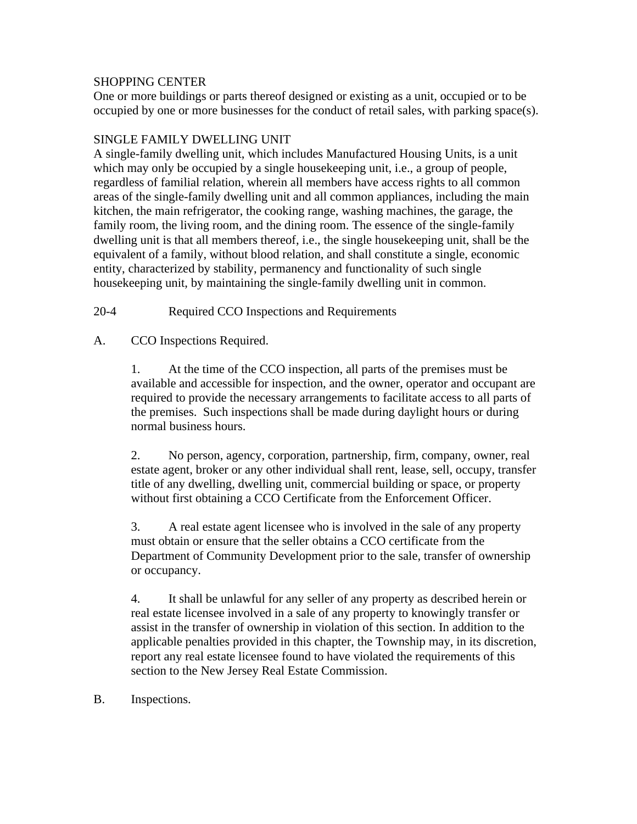### SHOPPING CENTER

One or more buildings or parts thereof designed or existing as a unit, occupied or to be occupied by one or more businesses for the conduct of retail sales, with parking space(s).

### SINGLE FAMILY DWELLING UNIT

A single-family dwelling unit, which includes Manufactured Housing Units, is a unit which may only be occupied by a single housekeeping unit, i.e., a group of people, regardless of familial relation, wherein all members have access rights to all common areas of the single-family dwelling unit and all common appliances, including the main kitchen, the main refrigerator, the cooking range, washing machines, the garage, the family room, the living room, and the dining room. The essence of the single-family dwelling unit is that all members thereof, i.e., the single housekeeping unit, shall be the equivalent of a family, without blood relation, and shall constitute a single, economic entity, characterized by stability, permanency and functionality of such single housekeeping unit, by maintaining the single-family dwelling unit in common.

20-4 Required CCO Inspections and Requirements

A. CCO Inspections Required.

1. At the time of the CCO inspection, all parts of the premises must be available and accessible for inspection, and the owner, operator and occupant are required to provide the necessary arrangements to facilitate access to all parts of the premises. Such inspections shall be made during daylight hours or during normal business hours.

2. No person, agency, corporation, partnership, firm, company, owner, real estate agent, broker or any other individual shall rent, lease, sell, occupy, transfer title of any dwelling, dwelling unit, commercial building or space, or property without first obtaining a CCO Certificate from the Enforcement Officer.

3. A real estate agent licensee who is involved in the sale of any property must obtain or ensure that the seller obtains a CCO certificate from the Department of Community Development prior to the sale, transfer of ownership or occupancy.

4. It shall be unlawful for any seller of any property as described herein or real estate licensee involved in a sale of any property to knowingly transfer or assist in the transfer of ownership in violation of this section. In addition to the applicable penalties provided in this chapter, the Township may, in its discretion, report any real estate licensee found to have violated the requirements of this section to the New Jersey Real Estate Commission.

B. Inspections.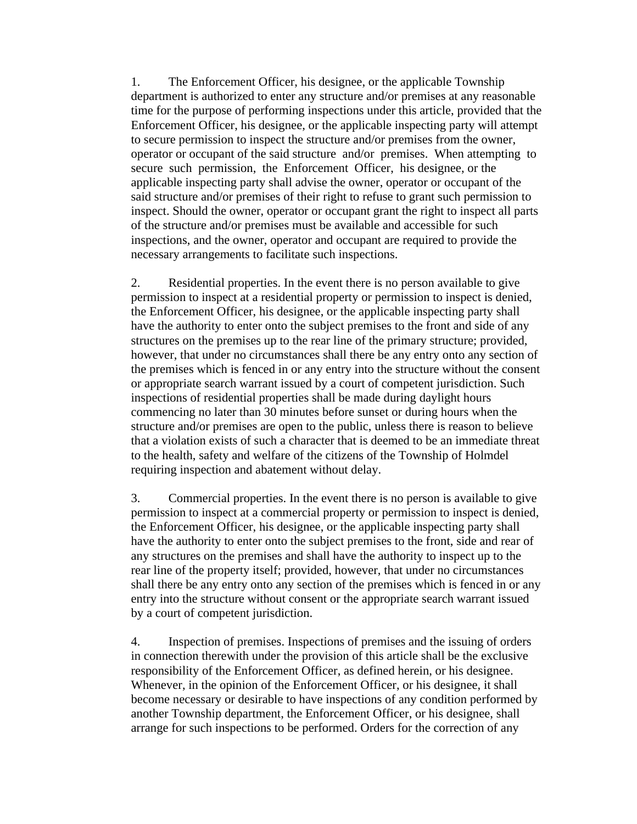1. The Enforcement Officer, his designee, or the applicable Township department is authorized to enter any structure and/or premises at any reasonable time for the purpose of performing inspections under this article, provided that the Enforcement Officer, his designee, or the applicable inspecting party will attempt to secure permission to inspect the structure and/or premises from the owner, operator or occupant of the said structure and/or premises. When attempting to secure such permission, the Enforcement Officer, his designee, or the applicable inspecting party shall advise the owner, operator or occupant of the said structure and/or premises of their right to refuse to grant such permission to inspect. Should the owner, operator or occupant grant the right to inspect all parts of the structure and/or premises must be available and accessible for such inspections, and the owner, operator and occupant are required to provide the necessary arrangements to facilitate such inspections.

2. Residential properties. In the event there is no person available to give permission to inspect at a residential property or permission to inspect is denied, the Enforcement Officer, his designee, or the applicable inspecting party shall have the authority to enter onto the subject premises to the front and side of any structures on the premises up to the rear line of the primary structure; provided, however, that under no circumstances shall there be any entry onto any section of the premises which is fenced in or any entry into the structure without the consent or appropriate search warrant issued by a court of competent jurisdiction. Such inspections of residential properties shall be made during daylight hours commencing no later than 30 minutes before sunset or during hours when the structure and/or premises are open to the public, unless there is reason to believe that a violation exists of such a character that is deemed to be an immediate threat to the health, safety and welfare of the citizens of the Township of Holmdel requiring inspection and abatement without delay.

3. Commercial properties. In the event there is no person is available to give permission to inspect at a commercial property or permission to inspect is denied, the Enforcement Officer, his designee, or the applicable inspecting party shall have the authority to enter onto the subject premises to the front, side and rear of any structures on the premises and shall have the authority to inspect up to the rear line of the property itself; provided, however, that under no circumstances shall there be any entry onto any section of the premises which is fenced in or any entry into the structure without consent or the appropriate search warrant issued by a court of competent jurisdiction.

4. Inspection of premises. Inspections of premises and the issuing of orders in connection therewith under the provision of this article shall be the exclusive responsibility of the Enforcement Officer, as defined herein, or his designee. Whenever, in the opinion of the Enforcement Officer, or his designee, it shall become necessary or desirable to have inspections of any condition performed by another Township department, the Enforcement Officer, or his designee, shall arrange for such inspections to be performed. Orders for the correction of any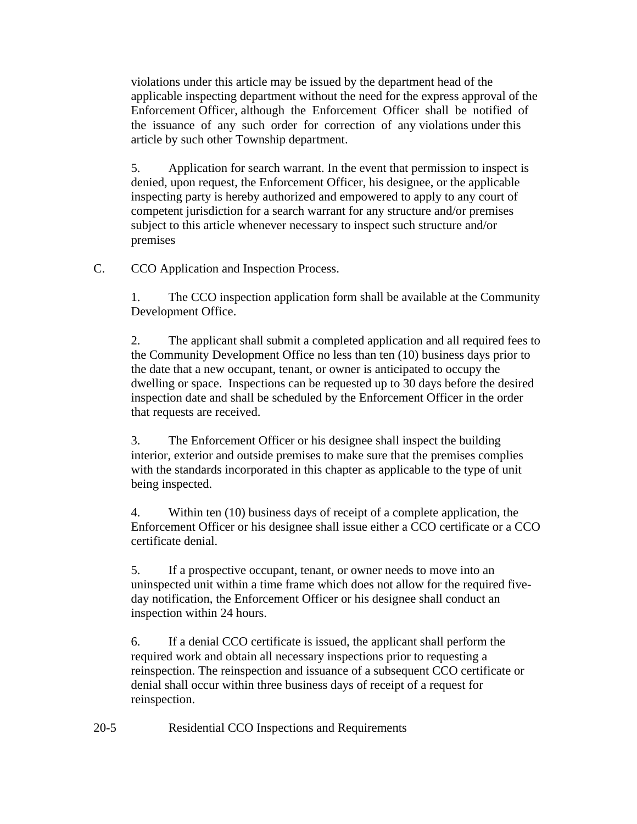violations under this article may be issued by the department head of the applicable inspecting department without the need for the express approval of the Enforcement Officer, although the Enforcement Officer shall be notified of the issuance of any such order for correction of any violations under this article by such other Township department.

5. Application for search warrant. In the event that permission to inspect is denied, upon request, the Enforcement Officer, his designee, or the applicable inspecting party is hereby authorized and empowered to apply to any court of competent jurisdiction for a search warrant for any structure and/or premises subject to this article whenever necessary to inspect such structure and/or premises

C. CCO Application and Inspection Process.

1. The CCO inspection application form shall be available at the Community Development Office.

2. The applicant shall submit a completed application and all required fees to the Community Development Office no less than ten (10) business days prior to the date that a new occupant, tenant, or owner is anticipated to occupy the dwelling or space. Inspections can be requested up to 30 days before the desired inspection date and shall be scheduled by the Enforcement Officer in the order that requests are received.

3. The Enforcement Officer or his designee shall inspect the building interior, exterior and outside premises to make sure that the premises complies with the standards incorporated in this chapter as applicable to the type of unit being inspected.

4. Within ten (10) business days of receipt of a complete application, the Enforcement Officer or his designee shall issue either a CCO certificate or a CCO certificate denial.

5. If a prospective occupant, tenant, or owner needs to move into an uninspected unit within a time frame which does not allow for the required fiveday notification, the Enforcement Officer or his designee shall conduct an inspection within 24 hours.

6. If a denial CCO certificate is issued, the applicant shall perform the required work and obtain all necessary inspections prior to requesting a reinspection. The reinspection and issuance of a subsequent CCO certificate or denial shall occur within three business days of receipt of a request for reinspection.

20-5 Residential CCO Inspections and Requirements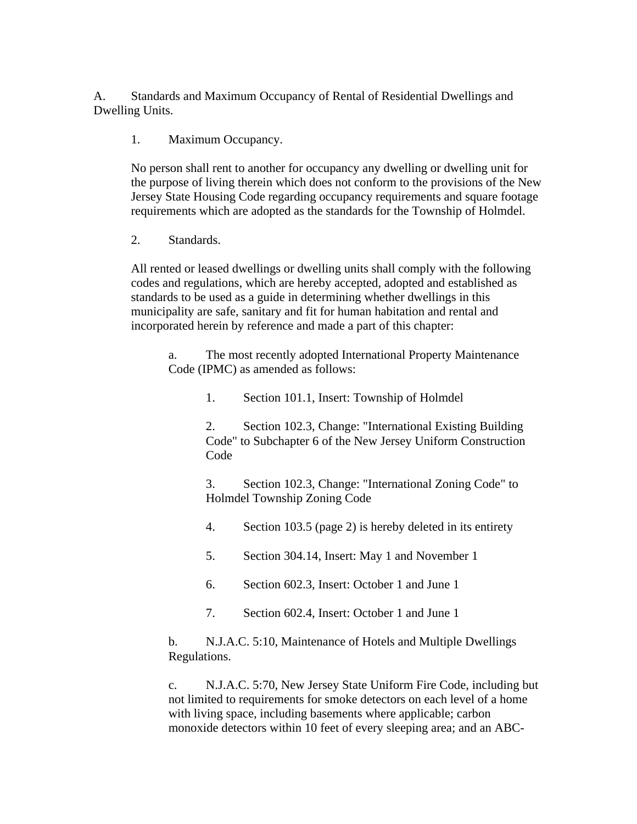A. Standards and Maximum Occupancy of Rental of Residential Dwellings and Dwelling Units.

1. Maximum Occupancy.

No person shall rent to another for occupancy any dwelling or dwelling unit for the purpose of living therein which does not conform to the provisions of the New Jersey State Housing Code regarding occupancy requirements and square footage requirements which are adopted as the standards for the Township of Holmdel.

2. Standards.

All rented or leased dwellings or dwelling units shall comply with the following codes and regulations, which are hereby accepted, adopted and established as standards to be used as a guide in determining whether dwellings in this municipality are safe, sanitary and fit for human habitation and rental and incorporated herein by reference and made a part of this chapter:

a. The most recently adopted International Property Maintenance Code (IPMC) as amended as follows:

1. Section 101.1, Insert: Township of Holmdel

2. Section 102.3, Change: "International Existing Building Code" to Subchapter 6 of the New Jersey Uniform Construction Code

3. Section 102.3, Change: "International Zoning Code" to Holmdel Township Zoning Code

4. Section 103.5 (page 2) is hereby deleted in its entirety

5. Section 304.14, Insert: May 1 and November 1

6. Section 602.3, Insert: October 1 and June 1

7. Section 602.4, Insert: October 1 and June 1

b. N.J.A.C. 5:10, Maintenance of Hotels and Multiple Dwellings Regulations.

c. N.J.A.C. 5:70, New Jersey State Uniform Fire Code, including but not limited to requirements for smoke detectors on each level of a home with living space, including basements where applicable; carbon monoxide detectors within 10 feet of every sleeping area; and an ABC-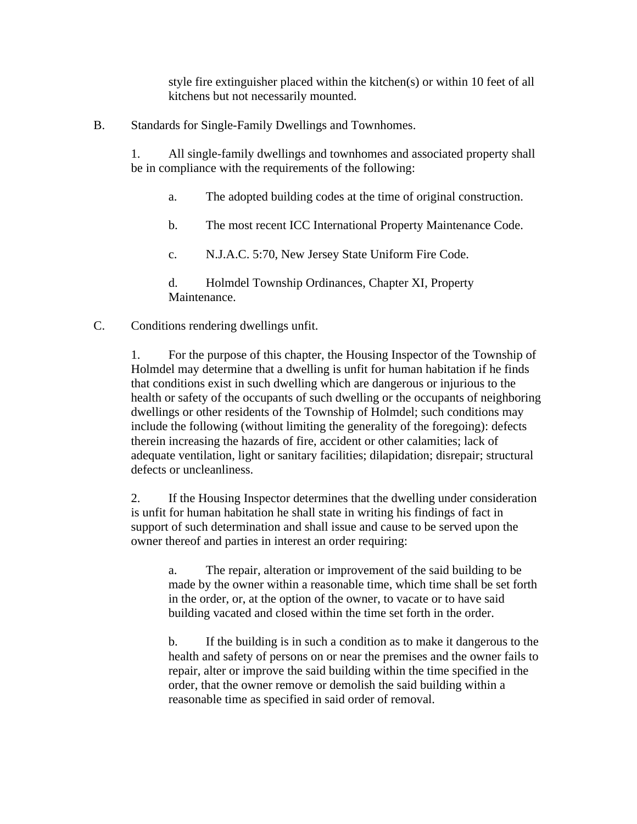style fire extinguisher placed within the kitchen(s) or within 10 feet of all kitchens but not necessarily mounted.

B. Standards for Single-Family Dwellings and Townhomes.

1. All single-family dwellings and townhomes and associated property shall be in compliance with the requirements of the following:

- a. The adopted building codes at the time of original construction.
- b. The most recent ICC International Property Maintenance Code.
- c. N.J.A.C. 5:70, New Jersey State Uniform Fire Code.
- d. Holmdel Township Ordinances, Chapter XI, Property Maintenance.
- C. Conditions rendering dwellings unfit.

1. For the purpose of this chapter, the Housing Inspector of the Township of Holmdel may determine that a dwelling is unfit for human habitation if he finds that conditions exist in such dwelling which are dangerous or injurious to the health or safety of the occupants of such dwelling or the occupants of neighboring dwellings or other residents of the Township of Holmdel; such conditions may include the following (without limiting the generality of the foregoing): defects therein increasing the hazards of fire, accident or other calamities; lack of adequate ventilation, light or sanitary facilities; dilapidation; disrepair; structural defects or uncleanliness.

2. If the Housing Inspector determines that the dwelling under consideration is unfit for human habitation he shall state in writing his findings of fact in support of such determination and shall issue and cause to be served upon the owner thereof and parties in interest an order requiring:

a. The repair, alteration or improvement of the said building to be made by the owner within a reasonable time, which time shall be set forth in the order, or, at the option of the owner, to vacate or to have said building vacated and closed within the time set forth in the order.

b. If the building is in such a condition as to make it dangerous to the health and safety of persons on or near the premises and the owner fails to repair, alter or improve the said building within the time specified in the order, that the owner remove or demolish the said building within a reasonable time as specified in said order of removal.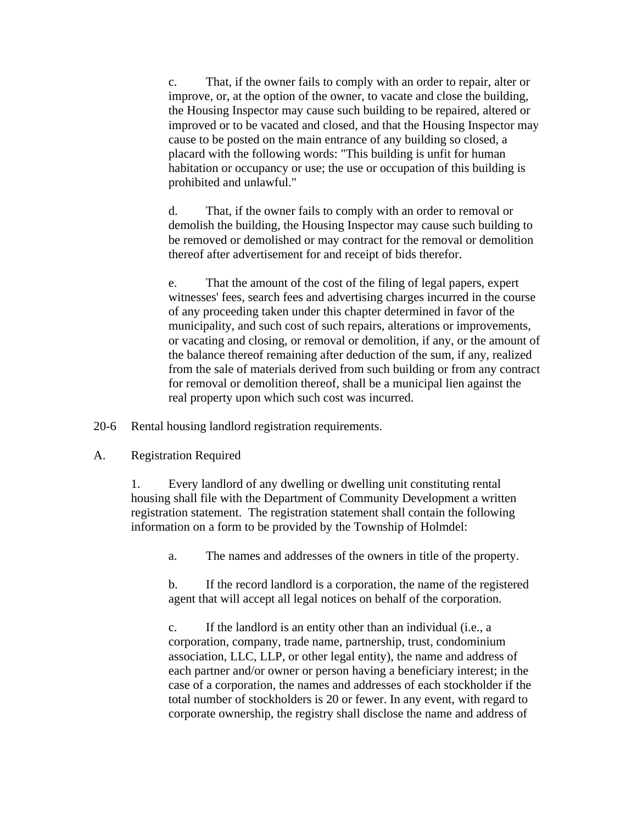c. That, if the owner fails to comply with an order to repair, alter or improve, or, at the option of the owner, to vacate and close the building, the Housing Inspector may cause such building to be repaired, altered or improved or to be vacated and closed, and that the Housing Inspector may cause to be posted on the main entrance of any building so closed, a placard with the following words: "This building is unfit for human habitation or occupancy or use; the use or occupation of this building is prohibited and unlawful."

d. That, if the owner fails to comply with an order to removal or demolish the building, the Housing Inspector may cause such building to be removed or demolished or may contract for the removal or demolition thereof after advertisement for and receipt of bids therefor.

e. That the amount of the cost of the filing of legal papers, expert witnesses' fees, search fees and advertising charges incurred in the course of any proceeding taken under this chapter determined in favor of the municipality, and such cost of such repairs, alterations or improvements, or vacating and closing, or removal or demolition, if any, or the amount of the balance thereof remaining after deduction of the sum, if any, realized from the sale of materials derived from such building or from any contract for removal or demolition thereof, shall be a municipal lien against the real property upon which such cost was incurred.

20-6 Rental housing landlord registration requirements.

A. Registration Required

1. Every landlord of any dwelling or dwelling unit constituting rental housing shall file with the Department of Community Development a written registration statement. The registration statement shall contain the following information on a form to be provided by the Township of Holmdel:

a. The names and addresses of the owners in title of the property.

b. If the record landlord is a corporation, the name of the registered agent that will accept all legal notices on behalf of the corporation.

c. If the landlord is an entity other than an individual (i.e., a corporation, company, trade name, partnership, trust, condominium association, LLC, LLP, or other legal entity), the name and address of each partner and/or owner or person having a beneficiary interest; in the case of a corporation, the names and addresses of each stockholder if the total number of stockholders is 20 or fewer. In any event, with regard to corporate ownership, the registry shall disclose the name and address of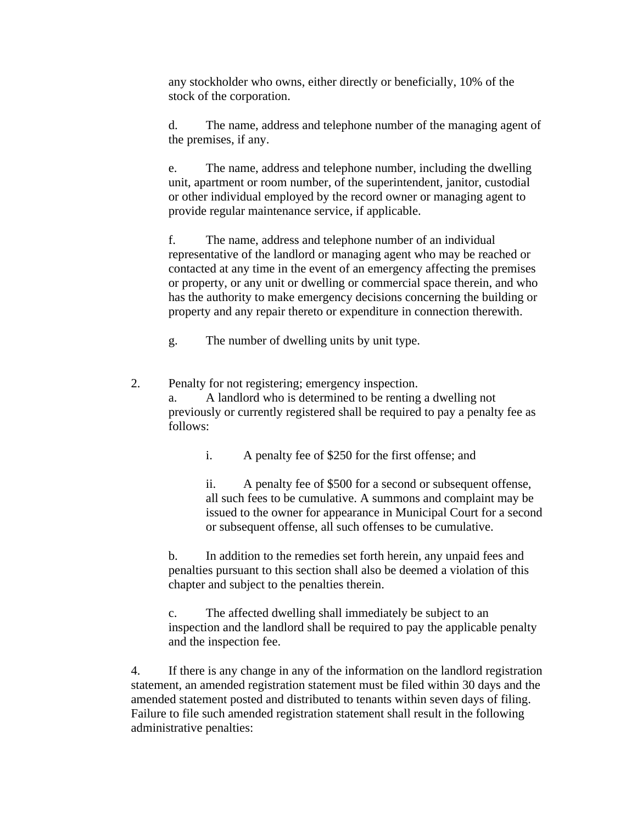any stockholder who owns, either directly or beneficially, 10% of the stock of the corporation.

d. The name, address and telephone number of the managing agent of the premises, if any.

e. The name, address and telephone number, including the dwelling unit, apartment or room number, of the superintendent, janitor, custodial or other individual employed by the record owner or managing agent to provide regular maintenance service, if applicable.

f. The name, address and telephone number of an individual representative of the landlord or managing agent who may be reached or contacted at any time in the event of an emergency affecting the premises or property, or any unit or dwelling or commercial space therein, and who has the authority to make emergency decisions concerning the building or property and any repair thereto or expenditure in connection therewith.

g. The number of dwelling units by unit type.

2. Penalty for not registering; emergency inspection. a. A landlord who is determined to be renting a dwelling not previously or currently registered shall be required to pay a penalty fee as follows:

i. A penalty fee of \$250 for the first offense; and

ii. A penalty fee of \$500 for a second or subsequent offense, all such fees to be cumulative. A summons and complaint may be issued to the owner for appearance in Municipal Court for a second or subsequent offense, all such offenses to be cumulative.

b. In addition to the remedies set forth herein, any unpaid fees and penalties pursuant to this section shall also be deemed a violation of this chapter and subject to the penalties therein.

c. The affected dwelling shall immediately be subject to an inspection and the landlord shall be required to pay the applicable penalty and the inspection fee.

4. If there is any change in any of the information on the landlord registration statement, an amended registration statement must be filed within 30 days and the amended statement posted and distributed to tenants within seven days of filing. Failure to file such amended registration statement shall result in the following administrative penalties: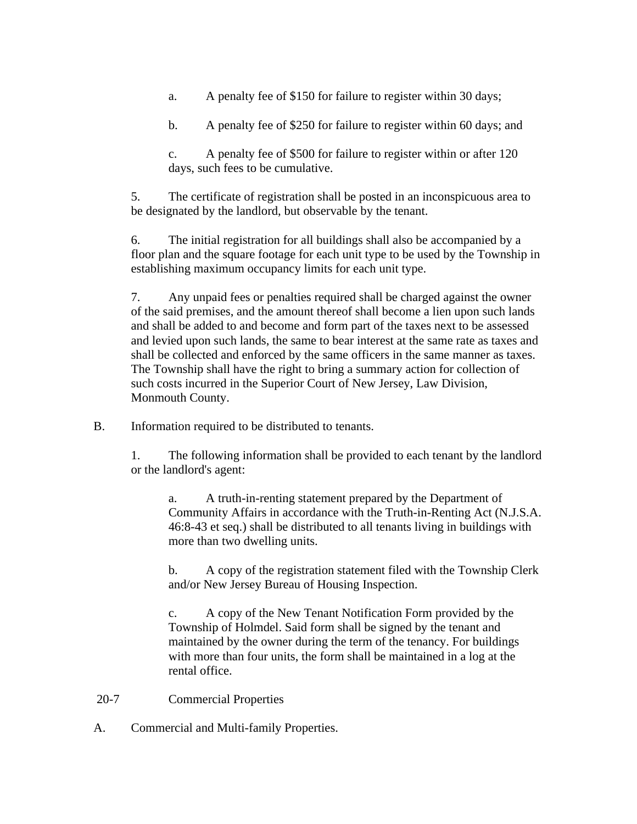- a. A penalty fee of \$150 for failure to register within 30 days;
- b. A penalty fee of \$250 for failure to register within 60 days; and
- c. A penalty fee of \$500 for failure to register within or after 120 days, such fees to be cumulative.

5. The certificate of registration shall be posted in an inconspicuous area to be designated by the landlord, but observable by the tenant.

6. The initial registration for all buildings shall also be accompanied by a floor plan and the square footage for each unit type to be used by the Township in establishing maximum occupancy limits for each unit type.

7. Any unpaid fees or penalties required shall be charged against the owner of the said premises, and the amount thereof shall become a lien upon such lands and shall be added to and become and form part of the taxes next to be assessed and levied upon such lands, the same to bear interest at the same rate as taxes and shall be collected and enforced by the same officers in the same manner as taxes. The Township shall have the right to bring a summary action for collection of such costs incurred in the Superior Court of New Jersey, Law Division, Monmouth County.

B. Information required to be distributed to tenants.

1. The following information shall be provided to each tenant by the landlord or the landlord's agent:

a. A truth-in-renting statement prepared by the Department of Community Affairs in accordance with the Truth-in-Renting Act (N.J.S.A. 46:8-43 et seq.) shall be distributed to all tenants living in buildings with more than two dwelling units.

b. A copy of the registration statement filed with the Township Clerk and/or New Jersey Bureau of Housing Inspection.

c. A copy of the New Tenant Notification Form provided by the Township of Holmdel. Said form shall be signed by the tenant and maintained by the owner during the term of the tenancy. For buildings with more than four units, the form shall be maintained in a log at the rental office.

- 20-7 Commercial Properties
- A. Commercial and Multi-family Properties.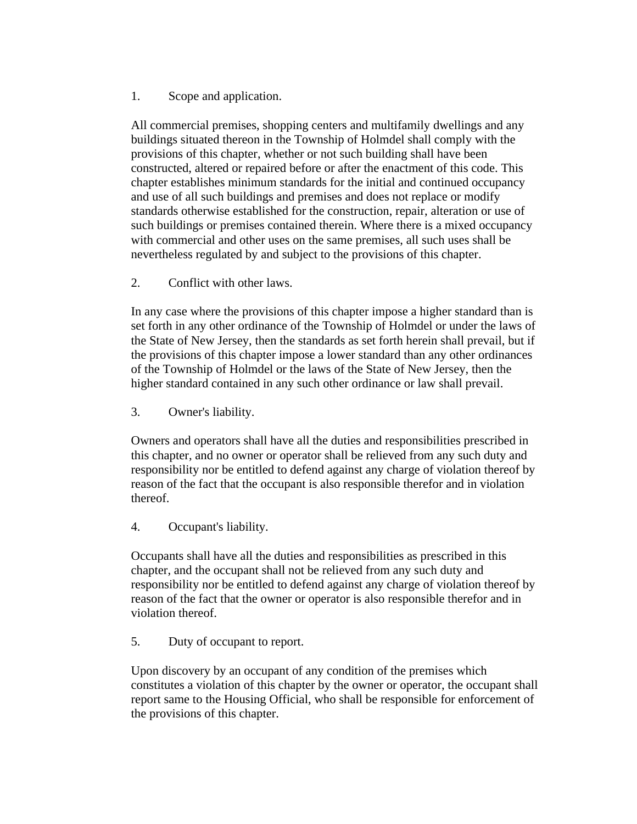1. Scope and application.

All commercial premises, shopping centers and multifamily dwellings and any buildings situated thereon in the Township of Holmdel shall comply with the provisions of this chapter, whether or not such building shall have been constructed, altered or repaired before or after the enactment of this code. This chapter establishes minimum standards for the initial and continued occupancy and use of all such buildings and premises and does not replace or modify standards otherwise established for the construction, repair, alteration or use of such buildings or premises contained therein. Where there is a mixed occupancy with commercial and other uses on the same premises, all such uses shall be nevertheless regulated by and subject to the provisions of this chapter.

2. Conflict with other laws.

In any case where the provisions of this chapter impose a higher standard than is set forth in any other ordinance of the Township of Holmdel or under the laws of the State of New Jersey, then the standards as set forth herein shall prevail, but if the provisions of this chapter impose a lower standard than any other ordinances of the Township of Holmdel or the laws of the State of New Jersey, then the higher standard contained in any such other ordinance or law shall prevail.

3. Owner's liability.

Owners and operators shall have all the duties and responsibilities prescribed in this chapter, and no owner or operator shall be relieved from any such duty and responsibility nor be entitled to defend against any charge of violation thereof by reason of the fact that the occupant is also responsible therefor and in violation thereof.

4. Occupant's liability.

Occupants shall have all the duties and responsibilities as prescribed in this chapter, and the occupant shall not be relieved from any such duty and responsibility nor be entitled to defend against any charge of violation thereof by reason of the fact that the owner or operator is also responsible therefor and in violation thereof.

5. Duty of occupant to report.

Upon discovery by an occupant of any condition of the premises which constitutes a violation of this chapter by the owner or operator, the occupant shall report same to the Housing Official, who shall be responsible for enforcement of the provisions of this chapter.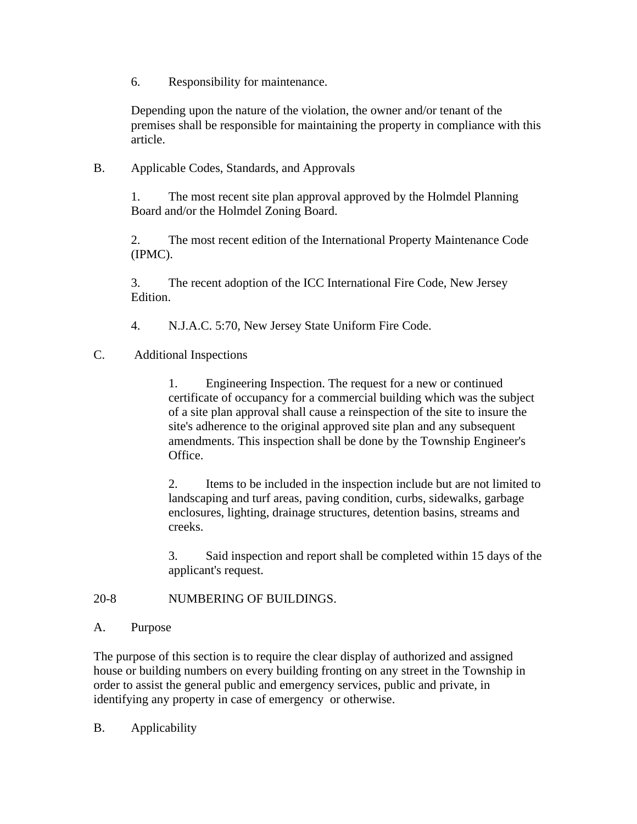6. Responsibility for maintenance.

Depending upon the nature of the violation, the owner and/or tenant of the premises shall be responsible for maintaining the property in compliance with this article.

## B. Applicable Codes, Standards, and Approvals

1. The most recent site plan approval approved by the Holmdel Planning Board and/or the Holmdel Zoning Board.

2. The most recent edition of the International Property Maintenance Code (IPMC).

3. The recent adoption of the ICC International Fire Code, New Jersey Edition.

4. N.J.A.C. 5:70, New Jersey State Uniform Fire Code.

C. Additional Inspections

1. Engineering Inspection. The request for a new or continued certificate of occupancy for a commercial building which was the subject of a site plan approval shall cause a reinspection of the site to insure the site's adherence to the original approved site plan and any subsequent amendments. This inspection shall be done by the Township Engineer's Office.

2. Items to be included in the inspection include but are not limited to landscaping and turf areas, paving condition, curbs, sidewalks, garbage enclosures, lighting, drainage structures, detention basins, streams and creeks.

3. Said inspection and report shall be completed within 15 days of the applicant's request.

#### 20-8 NUMBERING OF BUILDINGS.

#### A. Purpose

The purpose of this section is to require the clear display of authorized and assigned house or building numbers on every building fronting on any street in the Township in order to assist the general public and emergency services, public and private, in identifying any property in case of emergency or otherwise.

B. Applicability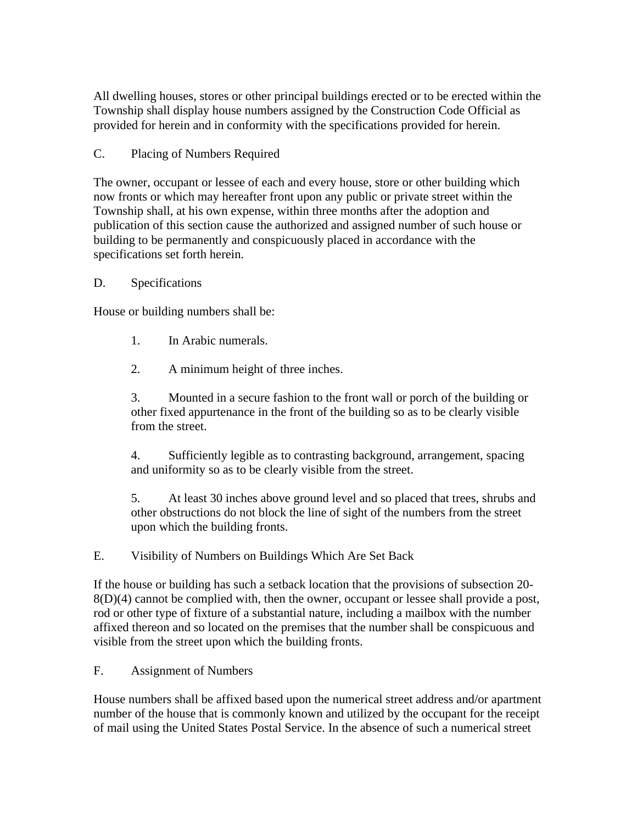All dwelling houses, stores or other principal buildings erected or to be erected within the Township shall display house numbers assigned by the Construction Code Official as provided for herein and in conformity with the specifications provided for herein.

## C. Placing of Numbers Required

The owner, occupant or lessee of each and every house, store or other building which now fronts or which may hereafter front upon any public or private street within the Township shall, at his own expense, within three months after the adoption and publication of this section cause the authorized and assigned number of such house or building to be permanently and conspicuously placed in accordance with the specifications set forth herein.

### D. Specifications

House or building numbers shall be:

- 1. In Arabic numerals.
- 2. A minimum height of three inches.

3. Mounted in a secure fashion to the front wall or porch of the building or other fixed appurtenance in the front of the building so as to be clearly visible from the street.

4. Sufficiently legible as to contrasting background, arrangement, spacing and uniformity so as to be clearly visible from the street.

5. At least 30 inches above ground level and so placed that trees, shrubs and other obstructions do not block the line of sight of the numbers from the street upon which the building fronts.

E. Visibility of Numbers on Buildings Which Are Set Back

If the house or building has such a setback location that the provisions of subsection 20- 8(D)(4) cannot be complied with, then the owner, occupant or lessee shall provide a post, rod or other type of fixture of a substantial nature, including a mailbox with the number affixed thereon and so located on the premises that the number shall be conspicuous and visible from the street upon which the building fronts.

F. Assignment of Numbers

House numbers shall be affixed based upon the numerical street address and/or apartment number of the house that is commonly known and utilized by the occupant for the receipt of mail using the United States Postal Service. In the absence of such a numerical street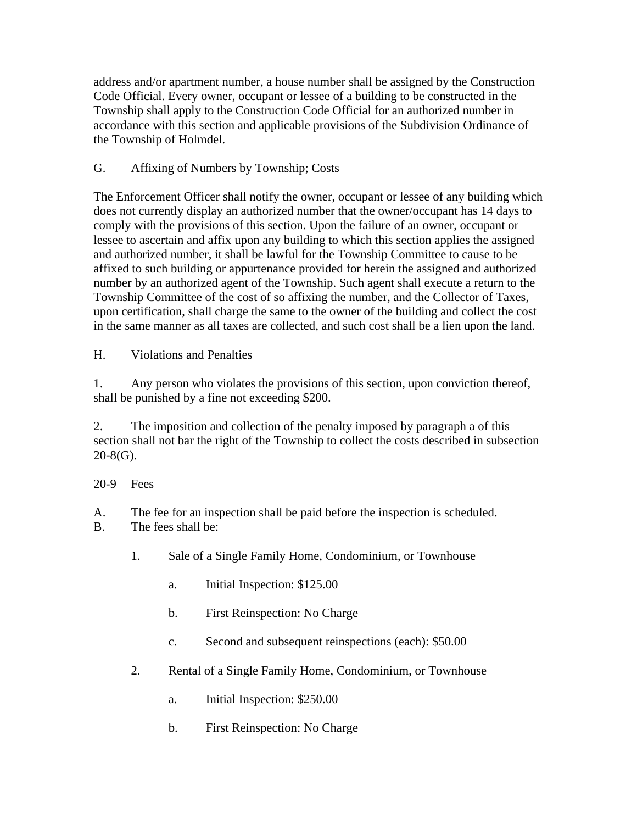address and/or apartment number, a house number shall be assigned by the Construction Code Official. Every owner, occupant or lessee of a building to be constructed in the Township shall apply to the Construction Code Official for an authorized number in accordance with this section and applicable provisions of the Subdivision Ordinance of the Township of Holmdel.

# G. Affixing of Numbers by Township; Costs

The Enforcement Officer shall notify the owner, occupant or lessee of any building which does not currently display an authorized number that the owner/occupant has 14 days to comply with the provisions of this section. Upon the failure of an owner, occupant or lessee to ascertain and affix upon any building to which this section applies the assigned and authorized number, it shall be lawful for the Township Committee to cause to be affixed to such building or appurtenance provided for herein the assigned and authorized number by an authorized agent of the Township. Such agent shall execute a return to the Township Committee of the cost of so affixing the number, and the Collector of Taxes, upon certification, shall charge the same to the owner of the building and collect the cost in the same manner as all taxes are collected, and such cost shall be a lien upon the land.

H. Violations and Penalties

1. Any person who violates the provisions of this section, upon conviction thereof, shall be punished by a fine not exceeding \$200.

2. The imposition and collection of the penalty imposed by paragraph a of this section shall not bar the right of the Township to collect the costs described in subsection  $20-8(G)$ .

# 20-9 Fees

A. The fee for an inspection shall be paid before the inspection is scheduled.

- B. The fees shall be:
	- 1. Sale of a Single Family Home, Condominium, or Townhouse
		- a. Initial Inspection: \$125.00
		- b. First Reinspection: No Charge
		- c. Second and subsequent reinspections (each): \$50.00
	- 2. Rental of a Single Family Home, Condominium, or Townhouse
		- a. Initial Inspection: \$250.00
		- b. First Reinspection: No Charge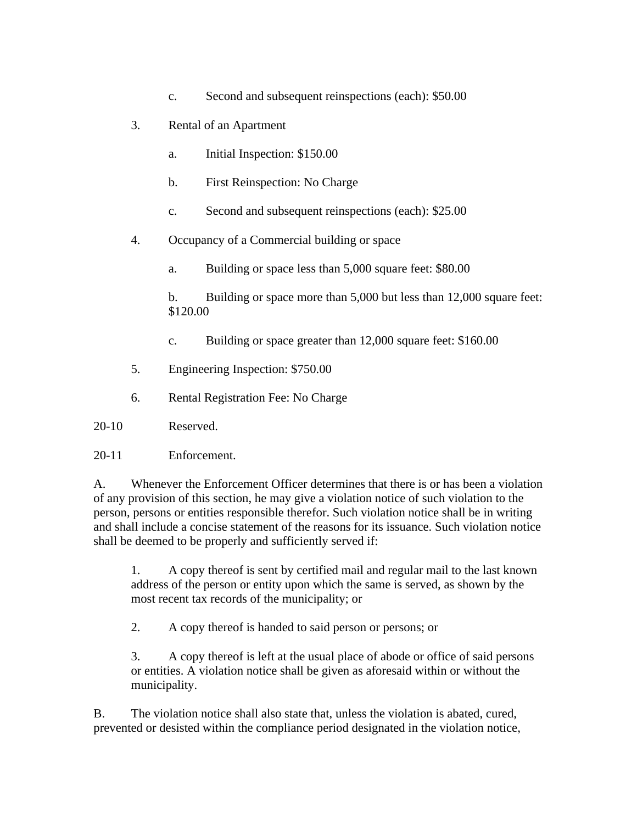- c. Second and subsequent reinspections (each): \$50.00
- 3. Rental of an Apartment
	- a. Initial Inspection: \$150.00
	- b. First Reinspection: No Charge
	- c. Second and subsequent reinspections (each): \$25.00
- 4. Occupancy of a Commercial building or space
	- a. Building or space less than 5,000 square feet: \$80.00
	- b. Building or space more than 5,000 but less than 12,000 square feet: \$120.00
	- c. Building or space greater than 12,000 square feet: \$160.00
- 5. Engineering Inspection: \$750.00
- 6. Rental Registration Fee: No Charge

20-10 Reserved.

20-11 Enforcement.

A. Whenever the Enforcement Officer determines that there is or has been a violation of any provision of this section, he may give a violation notice of such violation to the person, persons or entities responsible therefor. Such violation notice shall be in writing and shall include a concise statement of the reasons for its issuance. Such violation notice shall be deemed to be properly and sufficiently served if:

1. A copy thereof is sent by certified mail and regular mail to the last known address of the person or entity upon which the same is served, as shown by the most recent tax records of the municipality; or

2. A copy thereof is handed to said person or persons; or

3. A copy thereof is left at the usual place of abode or office of said persons or entities. A violation notice shall be given as aforesaid within or without the municipality.

B. The violation notice shall also state that, unless the violation is abated, cured, prevented or desisted within the compliance period designated in the violation notice,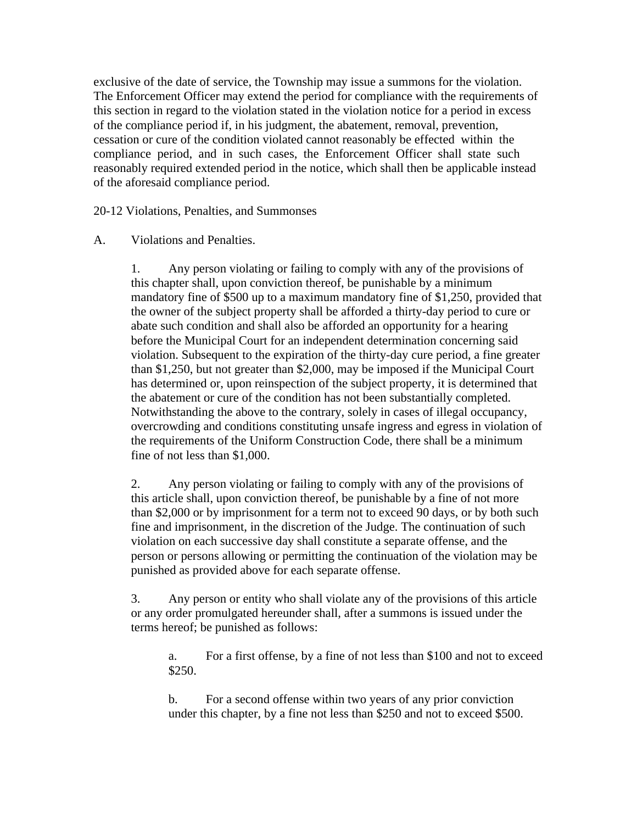exclusive of the date of service, the Township may issue a summons for the violation. The Enforcement Officer may extend the period for compliance with the requirements of this section in regard to the violation stated in the violation notice for a period in excess of the compliance period if, in his judgment, the abatement, removal, prevention, cessation or cure of the condition violated cannot reasonably be effected within the compliance period, and in such cases, the Enforcement Officer shall state such reasonably required extended period in the notice, which shall then be applicable instead of the aforesaid compliance period.

20-12 Violations, Penalties, and Summonses

### A. Violations and Penalties.

1. Any person violating or failing to comply with any of the provisions of this chapter shall, upon conviction thereof, be punishable by a minimum mandatory fine of \$500 up to a maximum mandatory fine of \$1,250, provided that the owner of the subject property shall be afforded a thirty-day period to cure or abate such condition and shall also be afforded an opportunity for a hearing before the Municipal Court for an independent determination concerning said violation. Subsequent to the expiration of the thirty-day cure period, a fine greater than \$1,250, but not greater than \$2,000, may be imposed if the Municipal Court has determined or, upon reinspection of the subject property, it is determined that the abatement or cure of the condition has not been substantially completed. Notwithstanding the above to the contrary, solely in cases of illegal occupancy, overcrowding and conditions constituting unsafe ingress and egress in violation of the requirements of the Uniform Construction Code, there shall be a minimum fine of not less than \$1,000.

2. Any person violating or failing to comply with any of the provisions of this article shall, upon conviction thereof, be punishable by a fine of not more than \$2,000 or by imprisonment for a term not to exceed 90 days, or by both such fine and imprisonment, in the discretion of the Judge. The continuation of such violation on each successive day shall constitute a separate offense, and the person or persons allowing or permitting the continuation of the violation may be punished as provided above for each separate offense.

3. Any person or entity who shall violate any of the provisions of this article or any order promulgated hereunder shall, after a summons is issued under the terms hereof; be punished as follows:

a. For a first offense, by a fine of not less than \$100 and not to exceed \$250.

b. For a second offense within two years of any prior conviction under this chapter, by a fine not less than \$250 and not to exceed \$500.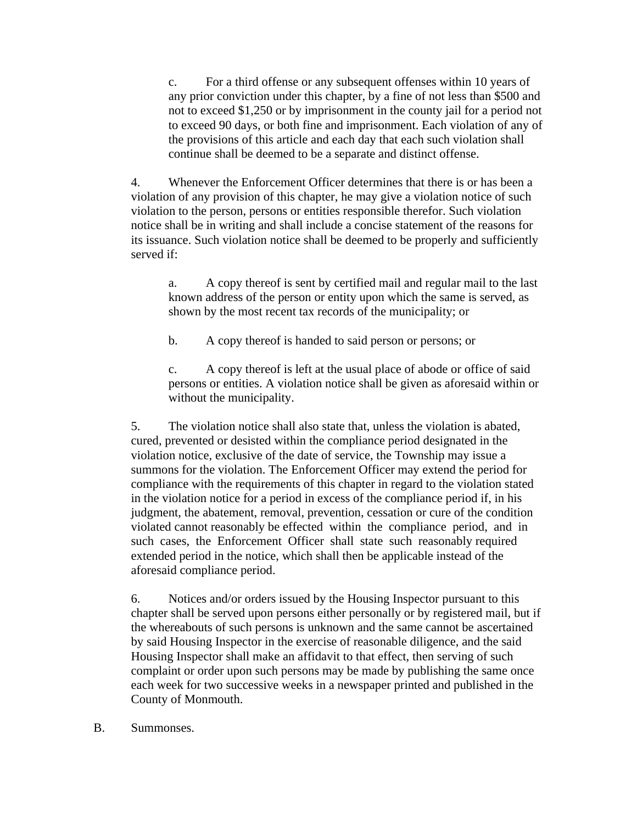c. For a third offense or any subsequent offenses within 10 years of any prior conviction under this chapter, by a fine of not less than \$500 and not to exceed \$1,250 or by imprisonment in the county jail for a period not to exceed 90 days, or both fine and imprisonment. Each violation of any of the provisions of this article and each day that each such violation shall continue shall be deemed to be a separate and distinct offense.

4. Whenever the Enforcement Officer determines that there is or has been a violation of any provision of this chapter, he may give a violation notice of such violation to the person, persons or entities responsible therefor. Such violation notice shall be in writing and shall include a concise statement of the reasons for its issuance. Such violation notice shall be deemed to be properly and sufficiently served if:

a. A copy thereof is sent by certified mail and regular mail to the last known address of the person or entity upon which the same is served, as shown by the most recent tax records of the municipality; or

b. A copy thereof is handed to said person or persons; or

c. A copy thereof is left at the usual place of abode or office of said persons or entities. A violation notice shall be given as aforesaid within or without the municipality.

5. The violation notice shall also state that, unless the violation is abated, cured, prevented or desisted within the compliance period designated in the violation notice, exclusive of the date of service, the Township may issue a summons for the violation. The Enforcement Officer may extend the period for compliance with the requirements of this chapter in regard to the violation stated in the violation notice for a period in excess of the compliance period if, in his judgment, the abatement, removal, prevention, cessation or cure of the condition violated cannot reasonably be effected within the compliance period, and in such cases, the Enforcement Officer shall state such reasonably required extended period in the notice, which shall then be applicable instead of the aforesaid compliance period.

6. Notices and/or orders issued by the Housing Inspector pursuant to this chapter shall be served upon persons either personally or by registered mail, but if the whereabouts of such persons is unknown and the same cannot be ascertained by said Housing Inspector in the exercise of reasonable diligence, and the said Housing Inspector shall make an affidavit to that effect, then serving of such complaint or order upon such persons may be made by publishing the same once each week for two successive weeks in a newspaper printed and published in the County of Monmouth.

B. Summonses.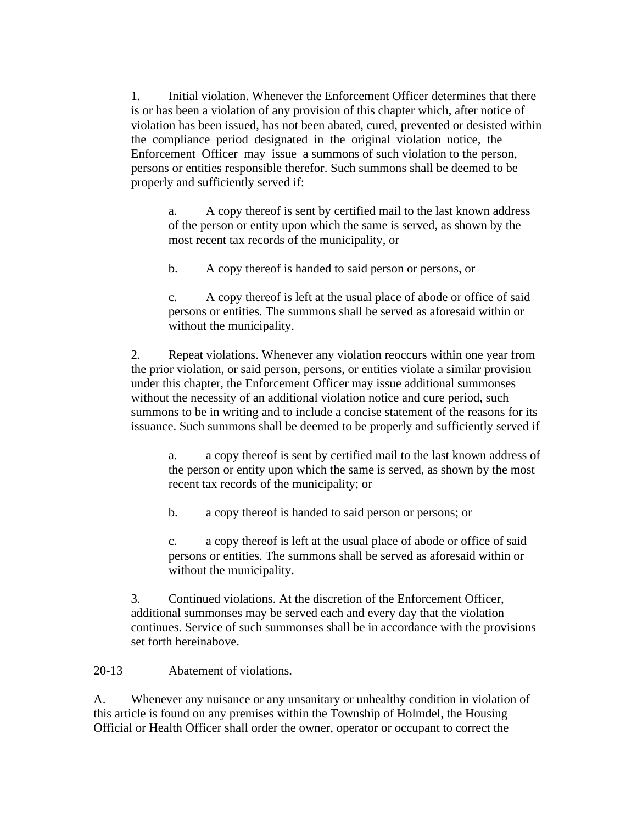1. Initial violation. Whenever the Enforcement Officer determines that there is or has been a violation of any provision of this chapter which, after notice of violation has been issued, has not been abated, cured, prevented or desisted within the compliance period designated in the original violation notice, the Enforcement Officer may issue a summons of such violation to the person, persons or entities responsible therefor. Such summons shall be deemed to be properly and sufficiently served if:

a. A copy thereof is sent by certified mail to the last known address of the person or entity upon which the same is served, as shown by the most recent tax records of the municipality, or

b. A copy thereof is handed to said person or persons, or

c. A copy thereof is left at the usual place of abode or office of said persons or entities. The summons shall be served as aforesaid within or without the municipality.

2. Repeat violations. Whenever any violation reoccurs within one year from the prior violation, or said person, persons, or entities violate a similar provision under this chapter, the Enforcement Officer may issue additional summonses without the necessity of an additional violation notice and cure period, such summons to be in writing and to include a concise statement of the reasons for its issuance. Such summons shall be deemed to be properly and sufficiently served if

a. a copy thereof is sent by certified mail to the last known address of the person or entity upon which the same is served, as shown by the most recent tax records of the municipality; or

b. a copy thereof is handed to said person or persons; or

c. a copy thereof is left at the usual place of abode or office of said persons or entities. The summons shall be served as aforesaid within or without the municipality.

3. Continued violations. At the discretion of the Enforcement Officer, additional summonses may be served each and every day that the violation continues. Service of such summonses shall be in accordance with the provisions set forth hereinabove.

20-13 Abatement of violations.

A. Whenever any nuisance or any unsanitary or unhealthy condition in violation of this article is found on any premises within the Township of Holmdel, the Housing Official or Health Officer shall order the owner, operator or occupant to correct the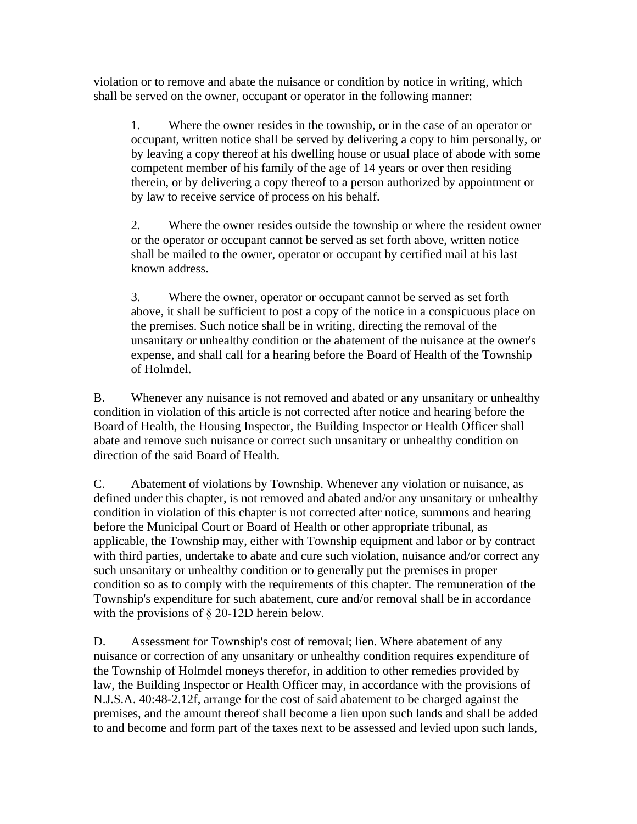violation or to remove and abate the nuisance or condition by notice in writing, which shall be served on the owner, occupant or operator in the following manner:

1. Where the owner resides in the township, or in the case of an operator or occupant, written notice shall be served by delivering a copy to him personally, or by leaving a copy thereof at his dwelling house or usual place of abode with some competent member of his family of the age of 14 years or over then residing therein, or by delivering a copy thereof to a person authorized by appointment or by law to receive service of process on his behalf.

2. Where the owner resides outside the township or where the resident owner or the operator or occupant cannot be served as set forth above, written notice shall be mailed to the owner, operator or occupant by certified mail at his last known address.

3. Where the owner, operator or occupant cannot be served as set forth above, it shall be sufficient to post a copy of the notice in a conspicuous place on the premises. Such notice shall be in writing, directing the removal of the unsanitary or unhealthy condition or the abatement of the nuisance at the owner's expense, and shall call for a hearing before the Board of Health of the Township of Holmdel.

B. Whenever any nuisance is not removed and abated or any unsanitary or unhealthy condition in violation of this article is not corrected after notice and hearing before the Board of Health, the Housing Inspector, the Building Inspector or Health Officer shall abate and remove such nuisance or correct such unsanitary or unhealthy condition on direction of the said Board of Health.

C. Abatement of violations by Township. Whenever any violation or nuisance, as defined under this chapter, is not removed and abated and/or any unsanitary or unhealthy condition in violation of this chapter is not corrected after notice, summons and hearing before the Municipal Court or Board of Health or other appropriate tribunal, as applicable, the Township may, either with Township equipment and labor or by contract with third parties, undertake to abate and cure such violation, nuisance and/or correct any such unsanitary or unhealthy condition or to generally put the premises in proper condition so as to comply with the requirements of this chapter. The remuneration of the Township's expenditure for such abatement, cure and/or removal shall be in accordance with the provisions of  $\S$  20-12D herein below.

D. Assessment for Township's cost of removal; lien. Where abatement of any nuisance or correction of any unsanitary or unhealthy condition requires expenditure of the Township of Holmdel moneys therefor, in addition to other remedies provided by law, the Building Inspector or Health Officer may, in accordance with the provisions of N.J.S.A. 40:48-2.12f, arrange for the cost of said abatement to be charged against the premises, and the amount thereof shall become a lien upon such lands and shall be added to and become and form part of the taxes next to be assessed and levied upon such lands,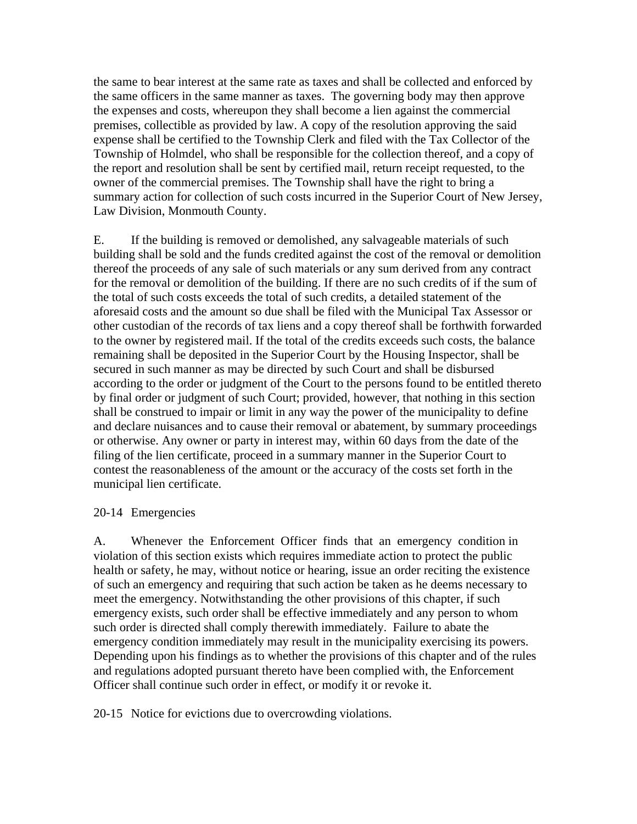the same to bear interest at the same rate as taxes and shall be collected and enforced by the same officers in the same manner as taxes. The governing body may then approve the expenses and costs, whereupon they shall become a lien against the commercial premises, collectible as provided by law. A copy of the resolution approving the said expense shall be certified to the Township Clerk and filed with the Tax Collector of the Township of Holmdel, who shall be responsible for the collection thereof, and a copy of the report and resolution shall be sent by certified mail, return receipt requested, to the owner of the commercial premises. The Township shall have the right to bring a summary action for collection of such costs incurred in the Superior Court of New Jersey, Law Division, Monmouth County.

E. If the building is removed or demolished, any salvageable materials of such building shall be sold and the funds credited against the cost of the removal or demolition thereof the proceeds of any sale of such materials or any sum derived from any contract for the removal or demolition of the building. If there are no such credits of if the sum of the total of such costs exceeds the total of such credits, a detailed statement of the aforesaid costs and the amount so due shall be filed with the Municipal Tax Assessor or other custodian of the records of tax liens and a copy thereof shall be forthwith forwarded to the owner by registered mail. If the total of the credits exceeds such costs, the balance remaining shall be deposited in the Superior Court by the Housing Inspector, shall be secured in such manner as may be directed by such Court and shall be disbursed according to the order or judgment of the Court to the persons found to be entitled thereto by final order or judgment of such Court; provided, however, that nothing in this section shall be construed to impair or limit in any way the power of the municipality to define and declare nuisances and to cause their removal or abatement, by summary proceedings or otherwise. Any owner or party in interest may, within 60 days from the date of the filing of the lien certificate, proceed in a summary manner in the Superior Court to contest the reasonableness of the amount or the accuracy of the costs set forth in the municipal lien certificate.

#### 20-14 Emergencies

A. Whenever the Enforcement Officer finds that an emergency condition in violation of this section exists which requires immediate action to protect the public health or safety, he may, without notice or hearing, issue an order reciting the existence of such an emergency and requiring that such action be taken as he deems necessary to meet the emergency. Notwithstanding the other provisions of this chapter, if such emergency exists, such order shall be effective immediately and any person to whom such order is directed shall comply therewith immediately. Failure to abate the emergency condition immediately may result in the municipality exercising its powers. Depending upon his findings as to whether the provisions of this chapter and of the rules and regulations adopted pursuant thereto have been complied with, the Enforcement Officer shall continue such order in effect, or modify it or revoke it.

20-15 Notice for evictions due to overcrowding violations.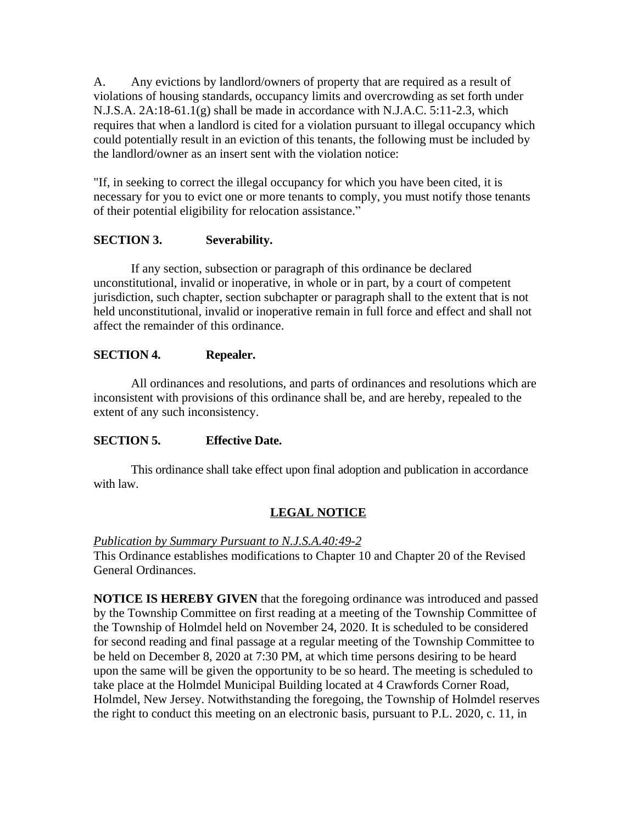A. Any evictions by landlord/owners of property that are required as a result of violations of housing standards, occupancy limits and overcrowding as set forth under N.J.S.A. 2A:18-61.1(g) shall be made in accordance with N.J.A.C. 5:11-2.3, which requires that when a landlord is cited for a violation pursuant to illegal occupancy which could potentially result in an eviction of this tenants, the following must be included by the landlord/owner as an insert sent with the violation notice:

"If, in seeking to correct the illegal occupancy for which you have been cited, it is necessary for you to evict one or more tenants to comply, you must notify those tenants of their potential eligibility for relocation assistance."

## **SECTION 3. Severability.**

If any section, subsection or paragraph of this ordinance be declared unconstitutional, invalid or inoperative, in whole or in part, by a court of competent jurisdiction, such chapter, section subchapter or paragraph shall to the extent that is not held unconstitutional, invalid or inoperative remain in full force and effect and shall not affect the remainder of this ordinance.

## **SECTION 4. Repealer.**

All ordinances and resolutions, and parts of ordinances and resolutions which are inconsistent with provisions of this ordinance shall be, and are hereby, repealed to the extent of any such inconsistency.

## **SECTION 5. Effective Date.**

This ordinance shall take effect upon final adoption and publication in accordance with law.

# **LEGAL NOTICE**

## *Publication by Summary Pursuant to N.J.S.A.40:49-2*

This Ordinance establishes modifications to Chapter 10 and Chapter 20 of the Revised General Ordinances.

**NOTICE IS HEREBY GIVEN** that the foregoing ordinance was introduced and passed by the Township Committee on first reading at a meeting of the Township Committee of the Township of Holmdel held on November 24, 2020. It is scheduled to be considered for second reading and final passage at a regular meeting of the Township Committee to be held on December 8, 2020 at 7:30 PM, at which time persons desiring to be heard upon the same will be given the opportunity to be so heard. The meeting is scheduled to take place at the Holmdel Municipal Building located at 4 Crawfords Corner Road, Holmdel, New Jersey. Notwithstanding the foregoing, the Township of Holmdel reserves the right to conduct this meeting on an electronic basis, pursuant to P.L. 2020, c. 11, in